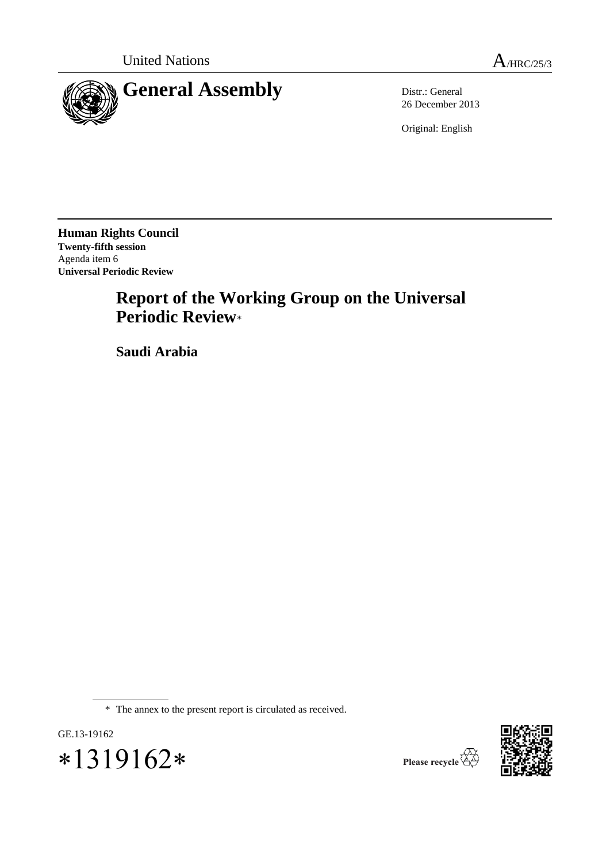



26 December 2013

Original: English

**Human Rights Council Twenty-fifth session** Agenda item 6 **Universal Periodic Review**

# **Report of the Working Group on the Universal Periodic Review**\*

**Saudi Arabia**

\* The annex to the present report is circulated as received.





Please recycle  $\overleftrightarrow{C}$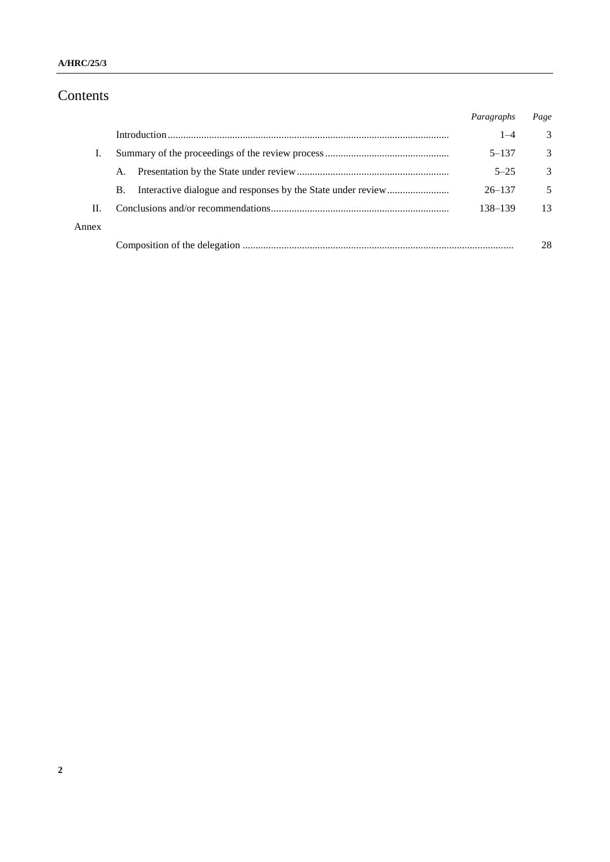# Contents

|       |           | Paragraphs | Page          |
|-------|-----------|------------|---------------|
|       |           | $1 - 4$    | 3             |
|       |           | $5 - 137$  | 3             |
|       | A.        | $5 - 25$   | $\mathcal{R}$ |
|       | <b>B.</b> | $26 - 137$ | 5             |
| Н.    |           | 138-139    | 13            |
| Annex |           |            |               |
|       |           |            | 28            |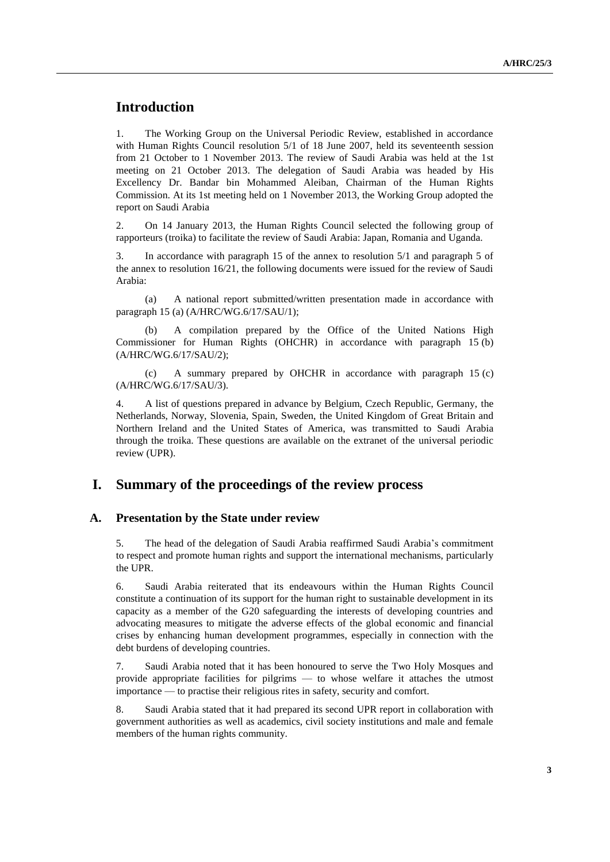# **Introduction**

1. The Working Group on the Universal Periodic Review, established in accordance with Human Rights Council resolution 5/1 of 18 June 2007, held its seventeenth session from 21 October to 1 November 2013. The review of Saudi Arabia was held at the 1st meeting on 21 October 2013. The delegation of Saudi Arabia was headed by His Excellency Dr. Bandar bin Mohammed Aleiban, Chairman of the Human Rights Commission. At its 1st meeting held on 1 November 2013, the Working Group adopted the report on Saudi Arabia

2. On 14 January 2013, the Human Rights Council selected the following group of rapporteurs (troika) to facilitate the review of Saudi Arabia: Japan, Romania and Uganda.

3. In accordance with paragraph 15 of the annex to resolution 5/1 and paragraph 5 of the annex to resolution 16/21, the following documents were issued for the review of Saudi Arabia:

(a) A national report submitted/written presentation made in accordance with paragraph 15 (a) (A/HRC/WG.6/17/SAU/1);

(b) A compilation prepared by the Office of the United Nations High Commissioner for Human Rights (OHCHR) in accordance with paragraph 15 (b) (A/HRC/WG.6/17/SAU/2);

(c) A summary prepared by OHCHR in accordance with paragraph 15 (c) (A/HRC/WG.6/17/SAU/3).

4. A list of questions prepared in advance by Belgium, Czech Republic, Germany, the Netherlands, Norway, Slovenia, Spain, Sweden, the United Kingdom of Great Britain and Northern Ireland and the United States of America, was transmitted to Saudi Arabia through the troika. These questions are available on the extranet of the universal periodic review (UPR).

### **I. Summary of the proceedings of the review process**

#### **A. Presentation by the State under review**

5. The head of the delegation of Saudi Arabia reaffirmed Saudi Arabia's commitment to respect and promote human rights and support the international mechanisms, particularly the UPR.

6. Saudi Arabia reiterated that its endeavours within the Human Rights Council constitute a continuation of its support for the human right to sustainable development in its capacity as a member of the G20 safeguarding the interests of developing countries and advocating measures to mitigate the adverse effects of the global economic and financial crises by enhancing human development programmes, especially in connection with the debt burdens of developing countries.

7. Saudi Arabia noted that it has been honoured to serve the Two Holy Mosques and provide appropriate facilities for pilgrims — to whose welfare it attaches the utmost importance — to practise their religious rites in safety, security and comfort.

8. Saudi Arabia stated that it had prepared its second UPR report in collaboration with government authorities as well as academics, civil society institutions and male and female members of the human rights community.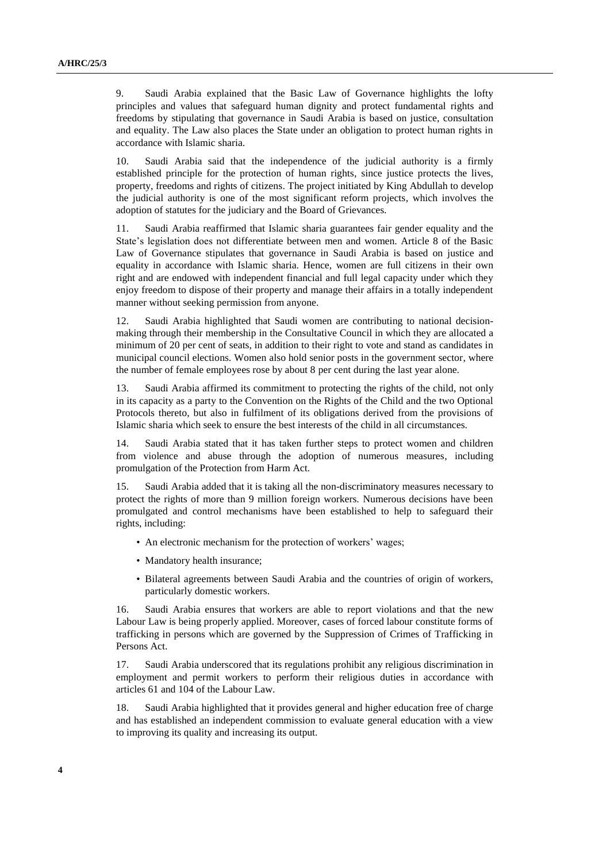9. Saudi Arabia explained that the Basic Law of Governance highlights the lofty principles and values that safeguard human dignity and protect fundamental rights and freedoms by stipulating that governance in Saudi Arabia is based on justice, consultation and equality. The Law also places the State under an obligation to protect human rights in accordance with Islamic sharia.

10. Saudi Arabia said that the independence of the judicial authority is a firmly established principle for the protection of human rights, since justice protects the lives, property, freedoms and rights of citizens. The project initiated by King Abdullah to develop the judicial authority is one of the most significant reform projects, which involves the adoption of statutes for the judiciary and the Board of Grievances.

11. Saudi Arabia reaffirmed that Islamic sharia guarantees fair gender equality and the State's legislation does not differentiate between men and women. Article 8 of the Basic Law of Governance stipulates that governance in Saudi Arabia is based on justice and equality in accordance with Islamic sharia. Hence, women are full citizens in their own right and are endowed with independent financial and full legal capacity under which they enjoy freedom to dispose of their property and manage their affairs in a totally independent manner without seeking permission from anyone.

12. Saudi Arabia highlighted that Saudi women are contributing to national decisionmaking through their membership in the Consultative Council in which they are allocated a minimum of 20 per cent of seats, in addition to their right to vote and stand as candidates in municipal council elections. Women also hold senior posts in the government sector, where the number of female employees rose by about 8 per cent during the last year alone.

13. Saudi Arabia affirmed its commitment to protecting the rights of the child, not only in its capacity as a party to the Convention on the Rights of the Child and the two Optional Protocols thereto, but also in fulfilment of its obligations derived from the provisions of Islamic sharia which seek to ensure the best interests of the child in all circumstances.

14. Saudi Arabia stated that it has taken further steps to protect women and children from violence and abuse through the adoption of numerous measures, including promulgation of the Protection from Harm Act.

15. Saudi Arabia added that it is taking all the non-discriminatory measures necessary to protect the rights of more than 9 million foreign workers. Numerous decisions have been promulgated and control mechanisms have been established to help to safeguard their rights, including:

- An electronic mechanism for the protection of workers' wages;
- Mandatory health insurance;
- Bilateral agreements between Saudi Arabia and the countries of origin of workers, particularly domestic workers.

16. Saudi Arabia ensures that workers are able to report violations and that the new Labour Law is being properly applied. Moreover, cases of forced labour constitute forms of trafficking in persons which are governed by the Suppression of Crimes of Trafficking in Persons Act.

17. Saudi Arabia underscored that its regulations prohibit any religious discrimination in employment and permit workers to perform their religious duties in accordance with articles 61 and 104 of the Labour Law.

18. Saudi Arabia highlighted that it provides general and higher education free of charge and has established an independent commission to evaluate general education with a view to improving its quality and increasing its output.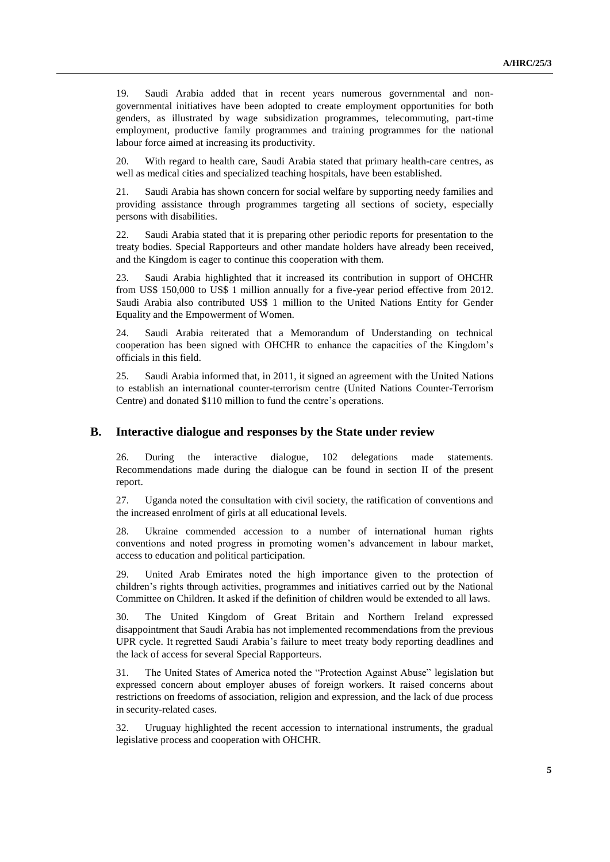19. Saudi Arabia added that in recent years numerous governmental and nongovernmental initiatives have been adopted to create employment opportunities for both genders, as illustrated by wage subsidization programmes, telecommuting, part-time employment, productive family programmes and training programmes for the national labour force aimed at increasing its productivity.

20. With regard to health care, Saudi Arabia stated that primary health-care centres, as well as medical cities and specialized teaching hospitals, have been established.

21. Saudi Arabia has shown concern for social welfare by supporting needy families and providing assistance through programmes targeting all sections of society, especially persons with disabilities.

22. Saudi Arabia stated that it is preparing other periodic reports for presentation to the treaty bodies. Special Rapporteurs and other mandate holders have already been received, and the Kingdom is eager to continue this cooperation with them.

23. Saudi Arabia highlighted that it increased its contribution in support of OHCHR from US\$ 150,000 to US\$ 1 million annually for a five-year period effective from 2012. Saudi Arabia also contributed US\$ 1 million to the United Nations Entity for Gender Equality and the Empowerment of Women.

24. Saudi Arabia reiterated that a Memorandum of Understanding on technical cooperation has been signed with OHCHR to enhance the capacities of the Kingdom's officials in this field.

25. Saudi Arabia informed that, in 2011, it signed an agreement with the United Nations to establish an international counter-terrorism centre (United Nations Counter-Terrorism Centre) and donated \$110 million to fund the centre's operations.

#### **B. Interactive dialogue and responses by the State under review**

26. During the interactive dialogue, 102 delegations made statements. Recommendations made during the dialogue can be found in section II of the present report.

27. Uganda noted the consultation with civil society, the ratification of conventions and the increased enrolment of girls at all educational levels.

28. Ukraine commended accession to a number of international human rights conventions and noted progress in promoting women's advancement in labour market, access to education and political participation.

29. United Arab Emirates noted the high importance given to the protection of children's rights through activities, programmes and initiatives carried out by the National Committee on Children. It asked if the definition of children would be extended to all laws.

30. The United Kingdom of Great Britain and Northern Ireland expressed disappointment that Saudi Arabia has not implemented recommendations from the previous UPR cycle. It regretted Saudi Arabia's failure to meet treaty body reporting deadlines and the lack of access for several Special Rapporteurs.

31. The United States of America noted the "Protection Against Abuse" legislation but expressed concern about employer abuses of foreign workers. It raised concerns about restrictions on freedoms of association, religion and expression, and the lack of due process in security-related cases.

32. Uruguay highlighted the recent accession to international instruments, the gradual legislative process and cooperation with OHCHR.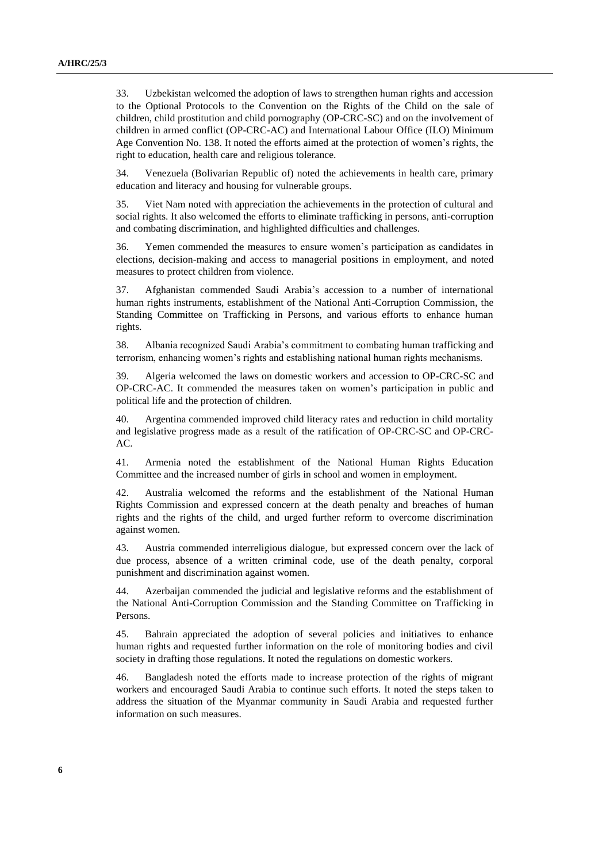33. Uzbekistan welcomed the adoption of laws to strengthen human rights and accession to the Optional Protocols to the Convention on the Rights of the Child on the sale of children, child prostitution and child pornography (OP-CRC-SC) and on the involvement of children in armed conflict (OP-CRC-AC) and International Labour Office (ILO) Minimum Age Convention No. 138. It noted the efforts aimed at the protection of women's rights, the right to education, health care and religious tolerance.

34. Venezuela (Bolivarian Republic of) noted the achievements in health care, primary education and literacy and housing for vulnerable groups.

35. Viet Nam noted with appreciation the achievements in the protection of cultural and social rights. It also welcomed the efforts to eliminate trafficking in persons, anti-corruption and combating discrimination, and highlighted difficulties and challenges.

36. Yemen commended the measures to ensure women's participation as candidates in elections, decision-making and access to managerial positions in employment, and noted measures to protect children from violence.

37. Afghanistan commended Saudi Arabia's accession to a number of international human rights instruments, establishment of the National Anti-Corruption Commission, the Standing Committee on Trafficking in Persons, and various efforts to enhance human rights.

38. Albania recognized Saudi Arabia's commitment to combating human trafficking and terrorism, enhancing women's rights and establishing national human rights mechanisms.

39. Algeria welcomed the laws on domestic workers and accession to OP-CRC-SC and OP-CRC-AC. It commended the measures taken on women's participation in public and political life and the protection of children.

40. Argentina commended improved child literacy rates and reduction in child mortality and legislative progress made as a result of the ratification of OP-CRC-SC and OP-CRC-AC.

41. Armenia noted the establishment of the National Human Rights Education Committee and the increased number of girls in school and women in employment.

42. Australia welcomed the reforms and the establishment of the National Human Rights Commission and expressed concern at the death penalty and breaches of human rights and the rights of the child, and urged further reform to overcome discrimination against women.

43. Austria commended interreligious dialogue, but expressed concern over the lack of due process, absence of a written criminal code, use of the death penalty, corporal punishment and discrimination against women.

44. Azerbaijan commended the judicial and legislative reforms and the establishment of the National Anti-Corruption Commission and the Standing Committee on Trafficking in Persons.

45. Bahrain appreciated the adoption of several policies and initiatives to enhance human rights and requested further information on the role of monitoring bodies and civil society in drafting those regulations. It noted the regulations on domestic workers.

46. Bangladesh noted the efforts made to increase protection of the rights of migrant workers and encouraged Saudi Arabia to continue such efforts. It noted the steps taken to address the situation of the Myanmar community in Saudi Arabia and requested further information on such measures.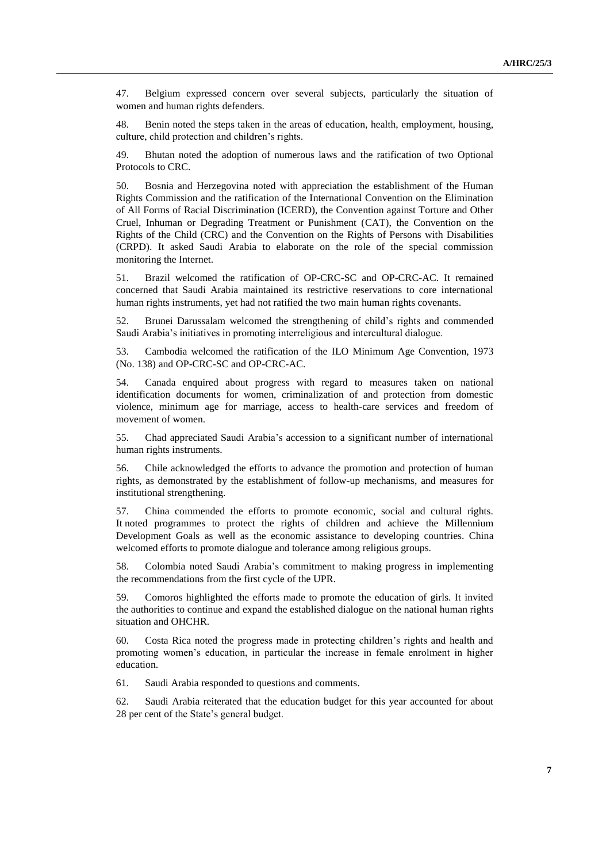47. Belgium expressed concern over several subjects, particularly the situation of women and human rights defenders.

48. Benin noted the steps taken in the areas of education, health, employment, housing, culture, child protection and children's rights.

49. Bhutan noted the adoption of numerous laws and the ratification of two Optional Protocols to CRC.

50. Bosnia and Herzegovina noted with appreciation the establishment of the Human Rights Commission and the ratification of the International Convention on the Elimination of All Forms of Racial Discrimination (ICERD), the Convention against Torture and Other Cruel, Inhuman or Degrading Treatment or Punishment (CAT), the Convention on the Rights of the Child (CRC) and the Convention on the Rights of Persons with Disabilities (CRPD). It asked Saudi Arabia to elaborate on the role of the special commission monitoring the Internet.

51. Brazil welcomed the ratification of OP-CRC-SC and OP-CRC-AC. It remained concerned that Saudi Arabia maintained its restrictive reservations to core international human rights instruments, yet had not ratified the two main human rights covenants.

52. Brunei Darussalam welcomed the strengthening of child's rights and commended Saudi Arabia's initiatives in promoting interreligious and intercultural dialogue.

53. Cambodia welcomed the ratification of the ILO Minimum Age Convention, 1973 (No. 138) and OP-CRC-SC and OP-CRC-AC.

54. Canada enquired about progress with regard to measures taken on national identification documents for women, criminalization of and protection from domestic violence, minimum age for marriage, access to health-care services and freedom of movement of women.

55. Chad appreciated Saudi Arabia's accession to a significant number of international human rights instruments.

56. Chile acknowledged the efforts to advance the promotion and protection of human rights, as demonstrated by the establishment of follow-up mechanisms, and measures for institutional strengthening.

57. China commended the efforts to promote economic, social and cultural rights. It noted programmes to protect the rights of children and achieve the Millennium Development Goals as well as the economic assistance to developing countries. China welcomed efforts to promote dialogue and tolerance among religious groups.

58. Colombia noted Saudi Arabia's commitment to making progress in implementing the recommendations from the first cycle of the UPR.

59. Comoros highlighted the efforts made to promote the education of girls. It invited the authorities to continue and expand the established dialogue on the national human rights situation and OHCHR.

60. Costa Rica noted the progress made in protecting children's rights and health and promoting women's education, in particular the increase in female enrolment in higher education.

61. Saudi Arabia responded to questions and comments.

62. Saudi Arabia reiterated that the education budget for this year accounted for about 28 per cent of the State's general budget.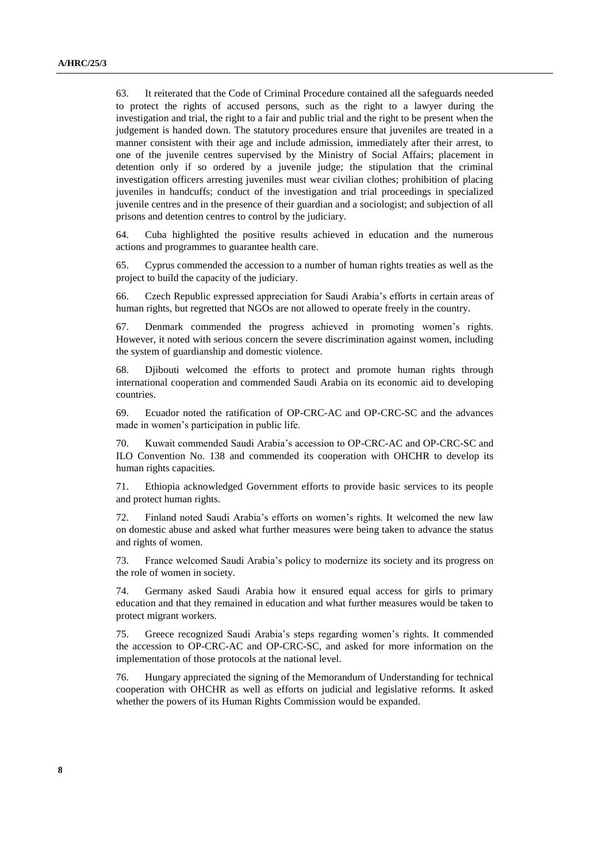63. It reiterated that the Code of Criminal Procedure contained all the safeguards needed to protect the rights of accused persons, such as the right to a lawyer during the investigation and trial, the right to a fair and public trial and the right to be present when the judgement is handed down. The statutory procedures ensure that juveniles are treated in a manner consistent with their age and include admission, immediately after their arrest, to one of the juvenile centres supervised by the Ministry of Social Affairs; placement in detention only if so ordered by a juvenile judge; the stipulation that the criminal investigation officers arresting juveniles must wear civilian clothes; prohibition of placing juveniles in handcuffs; conduct of the investigation and trial proceedings in specialized juvenile centres and in the presence of their guardian and a sociologist; and subjection of all prisons and detention centres to control by the judiciary.

64. Cuba highlighted the positive results achieved in education and the numerous actions and programmes to guarantee health care.

65. Cyprus commended the accession to a number of human rights treaties as well as the project to build the capacity of the judiciary.

66. Czech Republic expressed appreciation for Saudi Arabia's efforts in certain areas of human rights, but regretted that NGOs are not allowed to operate freely in the country.

67. Denmark commended the progress achieved in promoting women's rights. However, it noted with serious concern the severe discrimination against women, including the system of guardianship and domestic violence.

68. Djibouti welcomed the efforts to protect and promote human rights through international cooperation and commended Saudi Arabia on its economic aid to developing countries.

69. Ecuador noted the ratification of OP-CRC-AC and OP-CRC-SC and the advances made in women's participation in public life.

70. Kuwait commended Saudi Arabia's accession to OP-CRC-AC and OP-CRC-SC and ILO Convention No. 138 and commended its cooperation with OHCHR to develop its human rights capacities.

71. Ethiopia acknowledged Government efforts to provide basic services to its people and protect human rights.

72. Finland noted Saudi Arabia's efforts on women's rights. It welcomed the new law on domestic abuse and asked what further measures were being taken to advance the status and rights of women.

73. France welcomed Saudi Arabia's policy to modernize its society and its progress on the role of women in society.

74. Germany asked Saudi Arabia how it ensured equal access for girls to primary education and that they remained in education and what further measures would be taken to protect migrant workers.

75. Greece recognized Saudi Arabia's steps regarding women's rights. It commended the accession to OP-CRC-AC and OP-CRC-SC, and asked for more information on the implementation of those protocols at the national level.

76. Hungary appreciated the signing of the Memorandum of Understanding for technical cooperation with OHCHR as well as efforts on judicial and legislative reforms. It asked whether the powers of its Human Rights Commission would be expanded.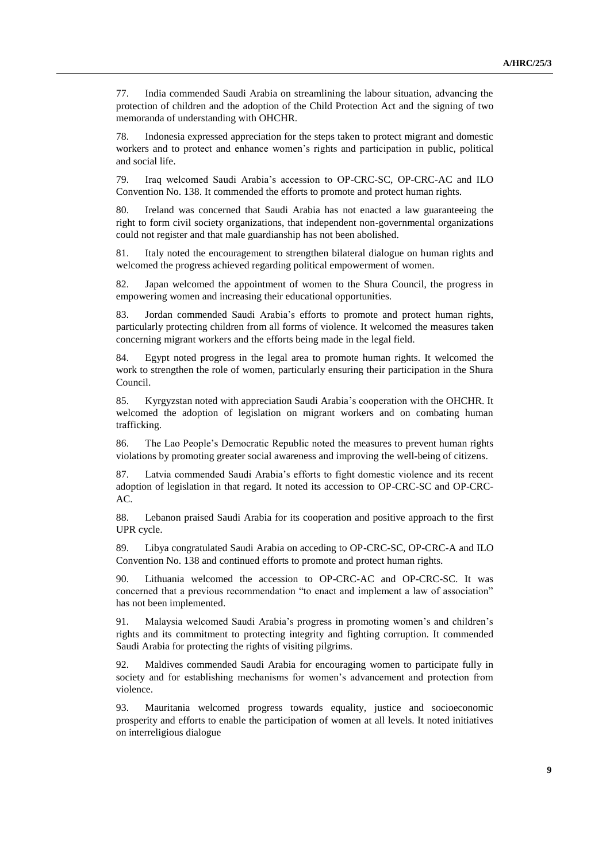77. India commended Saudi Arabia on streamlining the labour situation, advancing the protection of children and the adoption of the Child Protection Act and the signing of two memoranda of understanding with OHCHR.

78. Indonesia expressed appreciation for the steps taken to protect migrant and domestic workers and to protect and enhance women's rights and participation in public, political and social life.

79. Iraq welcomed Saudi Arabia's accession to OP-CRC-SC, OP-CRC-AC and ILO Convention No. 138. It commended the efforts to promote and protect human rights.

80. Ireland was concerned that Saudi Arabia has not enacted a law guaranteeing the right to form civil society organizations, that independent non-governmental organizations could not register and that male guardianship has not been abolished.

81. Italy noted the encouragement to strengthen bilateral dialogue on human rights and welcomed the progress achieved regarding political empowerment of women.

82. Japan welcomed the appointment of women to the Shura Council, the progress in empowering women and increasing their educational opportunities.

83. Jordan commended Saudi Arabia's efforts to promote and protect human rights, particularly protecting children from all forms of violence. It welcomed the measures taken concerning migrant workers and the efforts being made in the legal field.

84. Egypt noted progress in the legal area to promote human rights. It welcomed the work to strengthen the role of women, particularly ensuring their participation in the Shura Council.

85. Kyrgyzstan noted with appreciation Saudi Arabia's cooperation with the OHCHR. It welcomed the adoption of legislation on migrant workers and on combating human trafficking.

86. The Lao People's Democratic Republic noted the measures to prevent human rights violations by promoting greater social awareness and improving the well-being of citizens.

87. Latvia commended Saudi Arabia's efforts to fight domestic violence and its recent adoption of legislation in that regard. It noted its accession to OP-CRC-SC and OP-CRC-AC.

88. Lebanon praised Saudi Arabia for its cooperation and positive approach to the first UPR cycle.

89. Libya congratulated Saudi Arabia on acceding to OP-CRC-SC, OP-CRC-A and ILO Convention No. 138 and continued efforts to promote and protect human rights.

90. Lithuania welcomed the accession to OP-CRC-AC and OP-CRC-SC. It was concerned that a previous recommendation "to enact and implement a law of association" has not been implemented.

91. Malaysia welcomed Saudi Arabia's progress in promoting women's and children's rights and its commitment to protecting integrity and fighting corruption. It commended Saudi Arabia for protecting the rights of visiting pilgrims.

92. Maldives commended Saudi Arabia for encouraging women to participate fully in society and for establishing mechanisms for women's advancement and protection from violence.

93. Mauritania welcomed progress towards equality, justice and socioeconomic prosperity and efforts to enable the participation of women at all levels. It noted initiatives on interreligious dialogue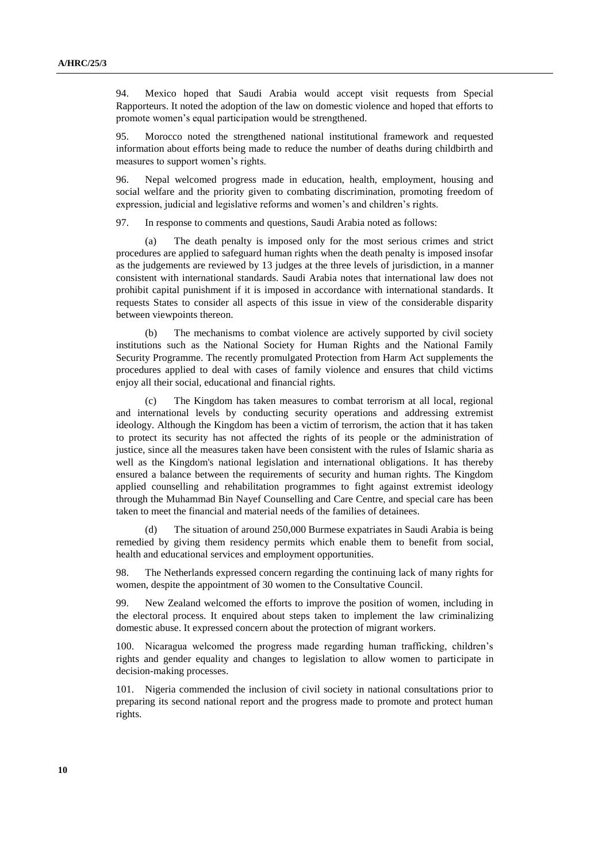94. Mexico hoped that Saudi Arabia would accept visit requests from Special Rapporteurs. It noted the adoption of the law on domestic violence and hoped that efforts to promote women's equal participation would be strengthened.

95. Morocco noted the strengthened national institutional framework and requested information about efforts being made to reduce the number of deaths during childbirth and measures to support women's rights.

96. Nepal welcomed progress made in education, health, employment, housing and social welfare and the priority given to combating discrimination, promoting freedom of expression, judicial and legislative reforms and women's and children's rights.

97. In response to comments and questions, Saudi Arabia noted as follows:

(a) The death penalty is imposed only for the most serious crimes and strict procedures are applied to safeguard human rights when the death penalty is imposed insofar as the judgements are reviewed by 13 judges at the three levels of jurisdiction, in a manner consistent with international standards. Saudi Arabia notes that international law does not prohibit capital punishment if it is imposed in accordance with international standards. It requests States to consider all aspects of this issue in view of the considerable disparity between viewpoints thereon.

(b) The mechanisms to combat violence are actively supported by civil society institutions such as the National Society for Human Rights and the National Family Security Programme. The recently promulgated Protection from Harm Act supplements the procedures applied to deal with cases of family violence and ensures that child victims enjoy all their social, educational and financial rights.

(c) The Kingdom has taken measures to combat terrorism at all local, regional and international levels by conducting security operations and addressing extremist ideology. Although the Kingdom has been a victim of terrorism, the action that it has taken to protect its security has not affected the rights of its people or the administration of justice, since all the measures taken have been consistent with the rules of Islamic sharia as well as the Kingdom's national legislation and international obligations. It has thereby ensured a balance between the requirements of security and human rights. The Kingdom applied counselling and rehabilitation programmes to fight against extremist ideology through the Muhammad Bin Nayef Counselling and Care Centre, and special care has been taken to meet the financial and material needs of the families of detainees.

(d) The situation of around 250,000 Burmese expatriates in Saudi Arabia is being remedied by giving them residency permits which enable them to benefit from social, health and educational services and employment opportunities.

98. The Netherlands expressed concern regarding the continuing lack of many rights for women, despite the appointment of 30 women to the Consultative Council.

99. New Zealand welcomed the efforts to improve the position of women, including in the electoral process. It enquired about steps taken to implement the law criminalizing domestic abuse. It expressed concern about the protection of migrant workers.

100. Nicaragua welcomed the progress made regarding human trafficking, children's rights and gender equality and changes to legislation to allow women to participate in decision-making processes.

101. Nigeria commended the inclusion of civil society in national consultations prior to preparing its second national report and the progress made to promote and protect human rights.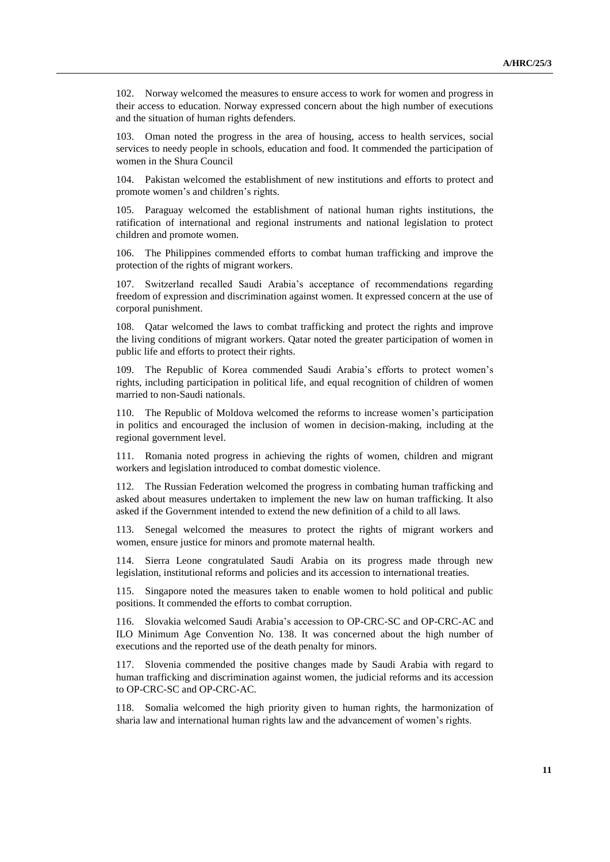102. Norway welcomed the measures to ensure access to work for women and progress in their access to education. Norway expressed concern about the high number of executions and the situation of human rights defenders.

103. Oman noted the progress in the area of housing, access to health services, social services to needy people in schools, education and food. It commended the participation of women in the Shura Council

104. Pakistan welcomed the establishment of new institutions and efforts to protect and promote women's and children's rights.

105. Paraguay welcomed the establishment of national human rights institutions, the ratification of international and regional instruments and national legislation to protect children and promote women.

106. The Philippines commended efforts to combat human trafficking and improve the protection of the rights of migrant workers.

107. Switzerland recalled Saudi Arabia's acceptance of recommendations regarding freedom of expression and discrimination against women. It expressed concern at the use of corporal punishment.

108. Qatar welcomed the laws to combat trafficking and protect the rights and improve the living conditions of migrant workers. Qatar noted the greater participation of women in public life and efforts to protect their rights.

109. The Republic of Korea commended Saudi Arabia's efforts to protect women's rights, including participation in political life, and equal recognition of children of women married to non-Saudi nationals.

110. The Republic of Moldova welcomed the reforms to increase women's participation in politics and encouraged the inclusion of women in decision-making, including at the regional government level.

111. Romania noted progress in achieving the rights of women, children and migrant workers and legislation introduced to combat domestic violence.

112. The Russian Federation welcomed the progress in combating human trafficking and asked about measures undertaken to implement the new law on human trafficking. It also asked if the Government intended to extend the new definition of a child to all laws.

113. Senegal welcomed the measures to protect the rights of migrant workers and women, ensure justice for minors and promote maternal health.

114. Sierra Leone congratulated Saudi Arabia on its progress made through new legislation, institutional reforms and policies and its accession to international treaties.

115. Singapore noted the measures taken to enable women to hold political and public positions. It commended the efforts to combat corruption.

116. Slovakia welcomed Saudi Arabia's accession to OP-CRC-SC and OP-CRC-AC and ILO Minimum Age Convention No. 138. It was concerned about the high number of executions and the reported use of the death penalty for minors.

117. Slovenia commended the positive changes made by Saudi Arabia with regard to human trafficking and discrimination against women, the judicial reforms and its accession to OP-CRC-SC and OP-CRC-AC.

118. Somalia welcomed the high priority given to human rights, the harmonization of sharia law and international human rights law and the advancement of women's rights.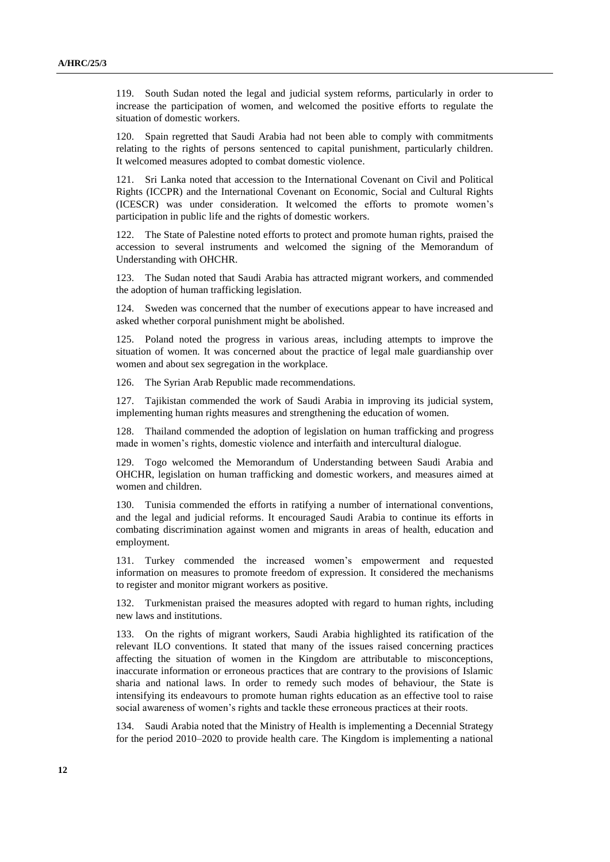119. South Sudan noted the legal and judicial system reforms, particularly in order to increase the participation of women, and welcomed the positive efforts to regulate the situation of domestic workers.

120. Spain regretted that Saudi Arabia had not been able to comply with commitments relating to the rights of persons sentenced to capital punishment, particularly children. It welcomed measures adopted to combat domestic violence.

121. Sri Lanka noted that accession to the International Covenant on Civil and Political Rights (ICCPR) and the International Covenant on Economic, Social and Cultural Rights (ICESCR) was under consideration. It welcomed the efforts to promote women's participation in public life and the rights of domestic workers.

122. The State of Palestine noted efforts to protect and promote human rights, praised the accession to several instruments and welcomed the signing of the Memorandum of Understanding with OHCHR.

123. The Sudan noted that Saudi Arabia has attracted migrant workers, and commended the adoption of human trafficking legislation.

124. Sweden was concerned that the number of executions appear to have increased and asked whether corporal punishment might be abolished.

125. Poland noted the progress in various areas, including attempts to improve the situation of women. It was concerned about the practice of legal male guardianship over women and about sex segregation in the workplace.

126. The Syrian Arab Republic made recommendations.

127. Tajikistan commended the work of Saudi Arabia in improving its judicial system, implementing human rights measures and strengthening the education of women.

128. Thailand commended the adoption of legislation on human trafficking and progress made in women's rights, domestic violence and interfaith and intercultural dialogue.

129. Togo welcomed the Memorandum of Understanding between Saudi Arabia and OHCHR, legislation on human trafficking and domestic workers, and measures aimed at women and children.

130. Tunisia commended the efforts in ratifying a number of international conventions, and the legal and judicial reforms. It encouraged Saudi Arabia to continue its efforts in combating discrimination against women and migrants in areas of health, education and employment.

131. Turkey commended the increased women's empowerment and requested information on measures to promote freedom of expression. It considered the mechanisms to register and monitor migrant workers as positive.

132. Turkmenistan praised the measures adopted with regard to human rights, including new laws and institutions.

133. On the rights of migrant workers, Saudi Arabia highlighted its ratification of the relevant ILO conventions. It stated that many of the issues raised concerning practices affecting the situation of women in the Kingdom are attributable to misconceptions, inaccurate information or erroneous practices that are contrary to the provisions of Islamic sharia and national laws. In order to remedy such modes of behaviour, the State is intensifying its endeavours to promote human rights education as an effective tool to raise social awareness of women's rights and tackle these erroneous practices at their roots.

Saudi Arabia noted that the Ministry of Health is implementing a Decennial Strategy for the period 2010–2020 to provide health care. The Kingdom is implementing a national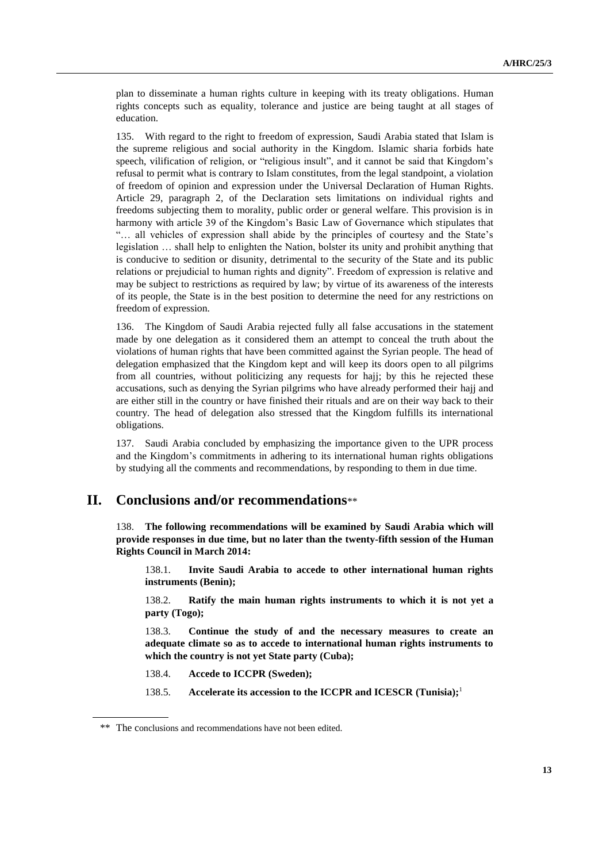plan to disseminate a human rights culture in keeping with its treaty obligations. Human rights concepts such as equality, tolerance and justice are being taught at all stages of education.

135. With regard to the right to freedom of expression, Saudi Arabia stated that Islam is the supreme religious and social authority in the Kingdom. Islamic sharia forbids hate speech, vilification of religion, or "religious insult", and it cannot be said that Kingdom's refusal to permit what is contrary to Islam constitutes, from the legal standpoint, a violation of freedom of opinion and expression under the Universal Declaration of Human Rights. Article 29, paragraph 2, of the Declaration sets limitations on individual rights and freedoms subjecting them to morality, public order or general welfare. This provision is in harmony with article 39 of the Kingdom's Basic Law of Governance which stipulates that "… all vehicles of expression shall abide by the principles of courtesy and the State's legislation … shall help to enlighten the Nation, bolster its unity and prohibit anything that is conducive to sedition or disunity, detrimental to the security of the State and its public relations or prejudicial to human rights and dignity". Freedom of expression is relative and may be subject to restrictions as required by law; by virtue of its awareness of the interests of its people, the State is in the best position to determine the need for any restrictions on freedom of expression.

136. The Kingdom of Saudi Arabia rejected fully all false accusations in the statement made by one delegation as it considered them an attempt to conceal the truth about the violations of human rights that have been committed against the Syrian people. The head of delegation emphasized that the Kingdom kept and will keep its doors open to all pilgrims from all countries, without politicizing any requests for hajj; by this he rejected these accusations, such as denying the Syrian pilgrims who have already performed their hajj and are either still in the country or have finished their rituals and are on their way back to their country. The head of delegation also stressed that the Kingdom fulfills its international obligations.

137. Saudi Arabia concluded by emphasizing the importance given to the UPR process and the Kingdom's commitments in adhering to its international human rights obligations by studying all the comments and recommendations, by responding to them in due time.

### **II. Conclusions and/or recommendations**\*\*

138. **The following recommendations will be examined by Saudi Arabia which will provide responses in due time, but no later than the twenty-fifth session of the Human Rights Council in March 2014:**

138.1. **Invite Saudi Arabia to accede to other international human rights instruments (Benin);**

138.2. **Ratify the main human rights instruments to which it is not yet a party (Togo);**

138.3. **Continue the study of and the necessary measures to create an adequate climate so as to accede to international human rights instruments to which the country is not yet State party (Cuba);**

138.4. **Accede to ICCPR (Sweden);**

138.5. **Accelerate its accession to the ICCPR and ICESCR (Tunisia);**<sup>1</sup>

<sup>\*\*</sup> The conclusions and recommendations have not been edited.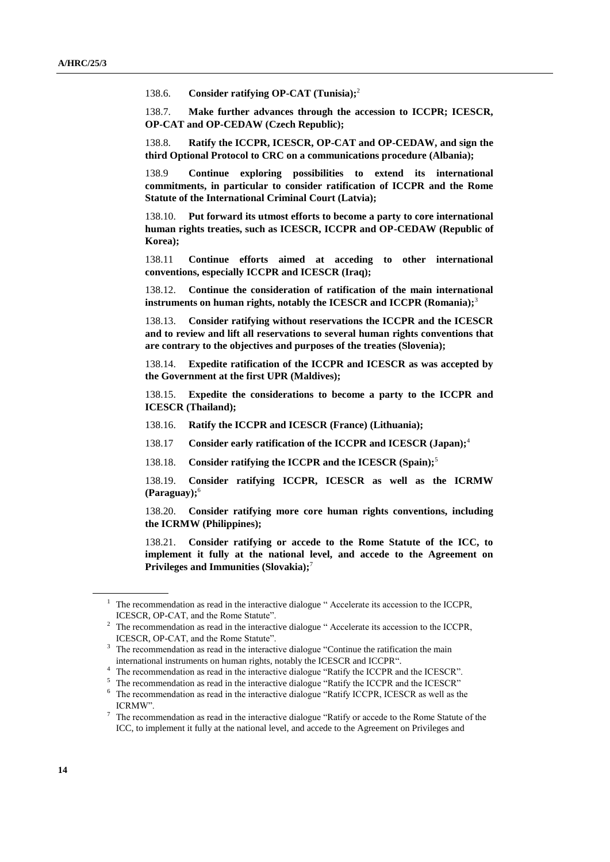138.6. **Consider ratifying OP-CAT (Tunisia);**<sup>2</sup>

138.7. **Make further advances through the accession to ICCPR; ICESCR, OP-CAT and OP-CEDAW (Czech Republic);**

138.8. **Ratify the ICCPR, ICESCR, OP-CAT and OP-CEDAW, and sign the third Optional Protocol to CRC on a communications procedure (Albania);**

138.9 **Continue exploring possibilities to extend its international commitments, in particular to consider ratification of ICCPR and the Rome Statute of the International Criminal Court (Latvia);**

138.10. **Put forward its utmost efforts to become a party to core international human rights treaties, such as ICESCR, ICCPR and OP-CEDAW (Republic of Korea);**

138.11 **Continue efforts aimed at acceding to other international conventions, especially ICCPR and ICESCR (Iraq);**

138.12. **Continue the consideration of ratification of the main international instruments on human rights, notably the ICESCR and ICCPR (Romania);**<sup>3</sup>

138.13. **Consider ratifying without reservations the ICCPR and the ICESCR and to review and lift all reservations to several human rights conventions that are contrary to the objectives and purposes of the treaties (Slovenia);**

138.14. **Expedite ratification of the ICCPR and ICESCR as was accepted by the Government at the first UPR (Maldives);**

138.15. **Expedite the considerations to become a party to the ICCPR and ICESCR (Thailand);**

138.16. **Ratify the ICCPR and ICESCR (France) (Lithuania);**

138.17 **Consider early ratification of the ICCPR and ICESCR (Japan);**<sup>4</sup>

138.18. **Consider ratifying the ICCPR and the ICESCR (Spain);**<sup>5</sup>

138.19. **Consider ratifying ICCPR, ICESCR as well as the ICRMW (Paraguay);**<sup>6</sup>

138.20. **Consider ratifying more core human rights conventions, including the ICRMW (Philippines);**

138.21. **Consider ratifying or accede to the Rome Statute of the ICC, to implement it fully at the national level, and accede to the Agreement on Privileges and Immunities (Slovakia);**<sup>7</sup>

 $1$  The recommendation as read in the interactive dialogue " Accelerate its accession to the ICCPR, ICESCR, OP-CAT, and the Rome Statute".

<sup>&</sup>lt;sup>2</sup> The recommendation as read in the interactive dialogue "Accelerate its accession to the ICCPR, ICESCR, OP-CAT, and the Rome Statute".

<sup>&</sup>lt;sup>3</sup> The recommendation as read in the interactive dialogue "Continue the ratification the main international instruments on human rights, notably the ICESCR and ICCPR".

<sup>&</sup>lt;sup>4</sup> The recommendation as read in the interactive dialogue "Ratify the ICCPR and the ICESCR".

<sup>&</sup>lt;sup>5</sup> The recommendation as read in the interactive dialogue "Ratify the ICCPR and the ICESCR"

<sup>6</sup> The recommendation as read in the interactive dialogue "Ratify ICCPR, ICESCR as well as the ICRMW".

<sup>7</sup> The recommendation as read in the interactive dialogue "Ratify or accede to the Rome Statute of the ICC, to implement it fully at the national level, and accede to the Agreement on Privileges and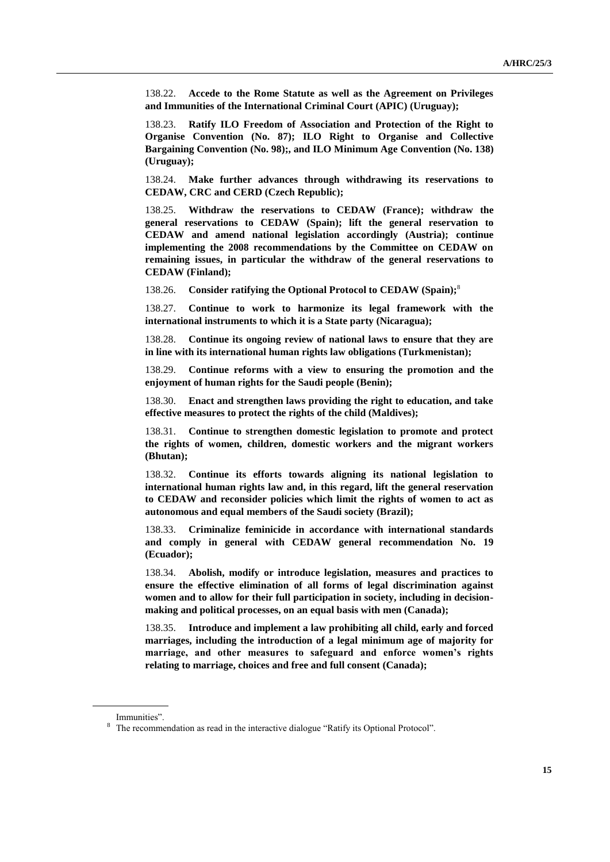138.22. **Accede to the Rome Statute as well as the Agreement on Privileges and Immunities of the International Criminal Court (APIC) (Uruguay);**

138.23. **Ratify ILO Freedom of Association and Protection of the Right to Organise Convention (No. 87); ILO Right to Organise and Collective Bargaining Convention (No. 98);, and ILO Minimum Age Convention (No. 138) (Uruguay);**

138.24. **Make further advances through withdrawing its reservations to CEDAW, CRC and CERD (Czech Republic);**

138.25. **Withdraw the reservations to CEDAW (France); withdraw the general reservations to CEDAW (Spain); lift the general reservation to CEDAW and amend national legislation accordingly (Austria); continue implementing the 2008 recommendations by the Committee on CEDAW on remaining issues, in particular the withdraw of the general reservations to CEDAW (Finland);**

138.26. **Consider ratifying the Optional Protocol to CEDAW (Spain);**<sup>8</sup>

138.27. **Continue to work to harmonize its legal framework with the international instruments to which it is a State party (Nicaragua);**

138.28. **Continue its ongoing review of national laws to ensure that they are in line with its international human rights law obligations (Turkmenistan);**

138.29. **Continue reforms with a view to ensuring the promotion and the enjoyment of human rights for the Saudi people (Benin);**

138.30. **Enact and strengthen laws providing the right to education, and take effective measures to protect the rights of the child (Maldives);**

138.31. **Continue to strengthen domestic legislation to promote and protect the rights of women, children, domestic workers and the migrant workers (Bhutan);**

138.32. **Continue its efforts towards aligning its national legislation to international human rights law and, in this regard, lift the general reservation to CEDAW and reconsider policies which limit the rights of women to act as autonomous and equal members of the Saudi society (Brazil);**

138.33. **Criminalize feminicide in accordance with international standards and comply in general with CEDAW general recommendation No. 19 (Ecuador);**

138.34. **Abolish, modify or introduce legislation, measures and practices to ensure the effective elimination of all forms of legal discrimination against women and to allow for their full participation in society, including in decisionmaking and political processes, on an equal basis with men (Canada);**

138.35. **Introduce and implement a law prohibiting all child, early and forced marriages, including the introduction of a legal minimum age of majority for marriage, and other measures to safeguard and enforce women's rights relating to marriage, choices and free and full consent (Canada);**

Immunities".

<sup>&</sup>lt;sup>8</sup> The recommendation as read in the interactive dialogue "Ratify its Optional Protocol".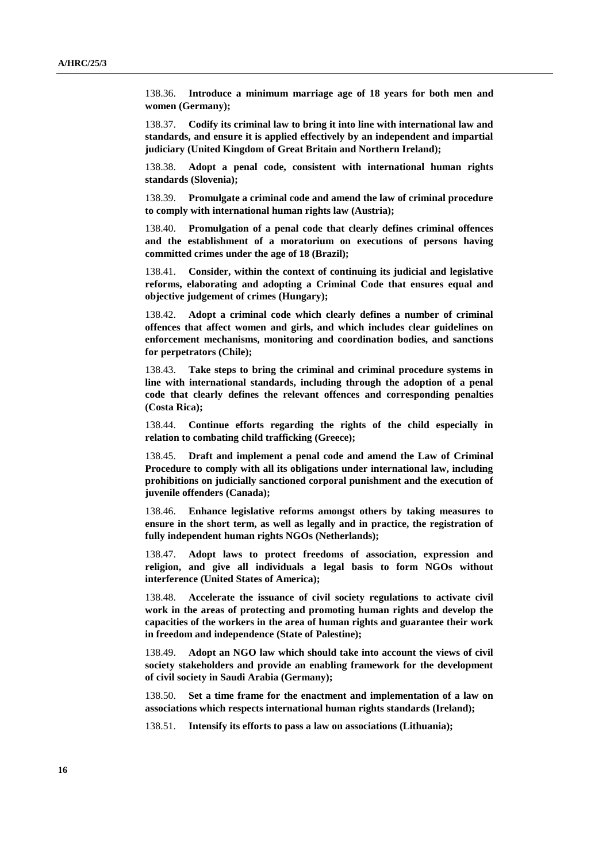138.36. **Introduce a minimum marriage age of 18 years for both men and women (Germany);**

138.37. **Codify its criminal law to bring it into line with international law and standards, and ensure it is applied effectively by an independent and impartial judiciary (United Kingdom of Great Britain and Northern Ireland);**

138.38. **Adopt a penal code, consistent with international human rights standards (Slovenia);**

138.39. **Promulgate a criminal code and amend the law of criminal procedure to comply with international human rights law (Austria);**

138.40. **Promulgation of a penal code that clearly defines criminal offences and the establishment of a moratorium on executions of persons having committed crimes under the age of 18 (Brazil);**

138.41. **Consider, within the context of continuing its judicial and legislative reforms, elaborating and adopting a Criminal Code that ensures equal and objective judgement of crimes (Hungary);**

138.42. **Adopt a criminal code which clearly defines a number of criminal offences that affect women and girls, and which includes clear guidelines on enforcement mechanisms, monitoring and coordination bodies, and sanctions for perpetrators (Chile);**

138.43. **Take steps to bring the criminal and criminal procedure systems in line with international standards, including through the adoption of a penal code that clearly defines the relevant offences and corresponding penalties (Costa Rica);**

138.44. **Continue efforts regarding the rights of the child especially in relation to combating child trafficking (Greece);**

138.45. **Draft and implement a penal code and amend the Law of Criminal Procedure to comply with all its obligations under international law, including prohibitions on judicially sanctioned corporal punishment and the execution of juvenile offenders (Canada);**

138.46. **Enhance legislative reforms amongst others by taking measures to ensure in the short term, as well as legally and in practice, the registration of fully independent human rights NGOs (Netherlands);**

138.47. **Adopt laws to protect freedoms of association, expression and religion, and give all individuals a legal basis to form NGOs without interference (United States of America);**

138.48. **Accelerate the issuance of civil society regulations to activate civil work in the areas of protecting and promoting human rights and develop the capacities of the workers in the area of human rights and guarantee their work in freedom and independence (State of Palestine);**

138.49. **Adopt an NGO law which should take into account the views of civil society stakeholders and provide an enabling framework for the development of civil society in Saudi Arabia (Germany);**

138.50. **Set a time frame for the enactment and implementation of a law on associations which respects international human rights standards (Ireland);**

138.51. **Intensify its efforts to pass a law on associations (Lithuania);**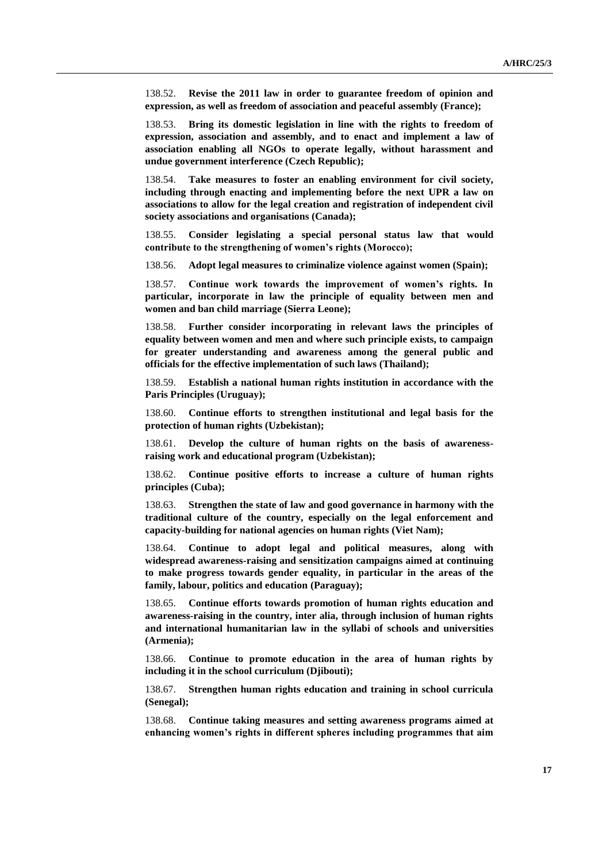138.52. **Revise the 2011 law in order to guarantee freedom of opinion and expression, as well as freedom of association and peaceful assembly (France);**

138.53. **Bring its domestic legislation in line with the rights to freedom of expression, association and assembly, and to enact and implement a law of association enabling all NGOs to operate legally, without harassment and undue government interference (Czech Republic);**

138.54. **Take measures to foster an enabling environment for civil society, including through enacting and implementing before the next UPR a law on associations to allow for the legal creation and registration of independent civil society associations and organisations (Canada);**

138.55. **Consider legislating a special personal status law that would contribute to the strengthening of women's rights (Morocco);**

138.56. **Adopt legal measures to criminalize violence against women (Spain);**

138.57. **Continue work towards the improvement of women's rights. In particular, incorporate in law the principle of equality between men and women and ban child marriage (Sierra Leone);**

138.58. **Further consider incorporating in relevant laws the principles of equality between women and men and where such principle exists, to campaign for greater understanding and awareness among the general public and officials for the effective implementation of such laws (Thailand);**

138.59. **Establish a national human rights institution in accordance with the Paris Principles (Uruguay);**

138.60. **Continue efforts to strengthen institutional and legal basis for the protection of human rights (Uzbekistan);**

138.61. **Develop the culture of human rights on the basis of awarenessraising work and educational program (Uzbekistan);**

138.62. **Continue positive efforts to increase a culture of human rights principles (Cuba);**

138.63. **Strengthen the state of law and good governance in harmony with the traditional culture of the country, especially on the legal enforcement and capacity-building for national agencies on human rights (Viet Nam);**

138.64. **Continue to adopt legal and political measures, along with widespread awareness-raising and sensitization campaigns aimed at continuing to make progress towards gender equality, in particular in the areas of the family, labour, politics and education (Paraguay);**

138.65. **Continue efforts towards promotion of human rights education and awareness-raising in the country, inter alia, through inclusion of human rights and international humanitarian law in the syllabi of schools and universities (Armenia);**

138.66. **Continue to promote education in the area of human rights by including it in the school curriculum (Djibouti);**

138.67. **Strengthen human rights education and training in school curricula (Senegal);**

138.68. **Continue taking measures and setting awareness programs aimed at enhancing women's rights in different spheres including programmes that aim**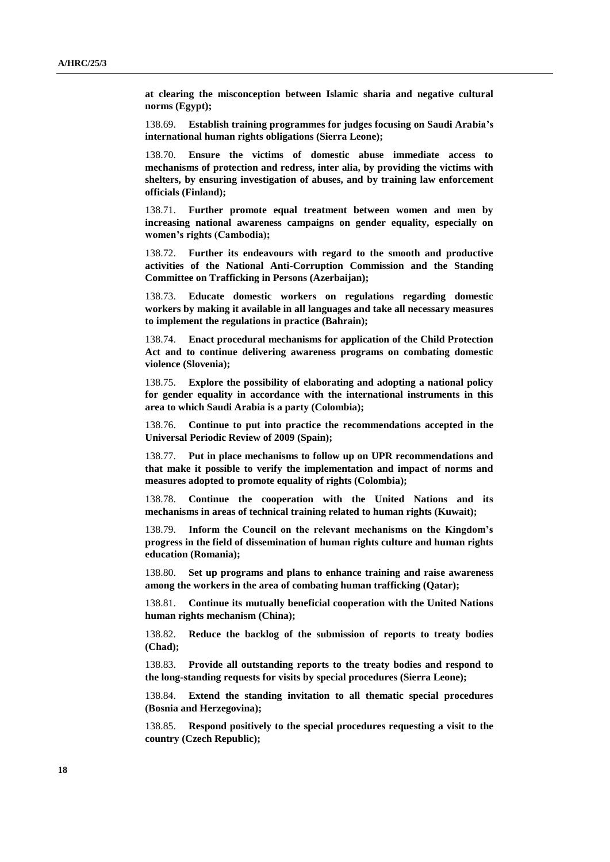**at clearing the misconception between Islamic sharia and negative cultural norms (Egypt);**

138.69. **Establish training programmes for judges focusing on Saudi Arabia's international human rights obligations (Sierra Leone);**

138.70. **Ensure the victims of domestic abuse immediate access to mechanisms of protection and redress, inter alia, by providing the victims with shelters, by ensuring investigation of abuses, and by training law enforcement officials (Finland);**

138.71. **Further promote equal treatment between women and men by increasing national awareness campaigns on gender equality, especially on women's rights (Cambodia);**

138.72. **Further its endeavours with regard to the smooth and productive activities of the National Anti-Corruption Commission and the Standing Committee on Trafficking in Persons (Azerbaijan);**

138.73. **Educate domestic workers on regulations regarding domestic workers by making it available in all languages and take all necessary measures to implement the regulations in practice (Bahrain);**

138.74. **Enact procedural mechanisms for application of the Child Protection Act and to continue delivering awareness programs on combating domestic violence (Slovenia);**

138.75. **Explore the possibility of elaborating and adopting a national policy for gender equality in accordance with the international instruments in this area to which Saudi Arabia is a party (Colombia);**

138.76. **Continue to put into practice the recommendations accepted in the Universal Periodic Review of 2009 (Spain);**

138.77. **Put in place mechanisms to follow up on UPR recommendations and that make it possible to verify the implementation and impact of norms and measures adopted to promote equality of rights (Colombia);**

138.78. **Continue the cooperation with the United Nations and its mechanisms in areas of technical training related to human rights (Kuwait);**

138.79. **Inform the Council on the relevant mechanisms on the Kingdom's progress in the field of dissemination of human rights culture and human rights education (Romania);**

138.80. **Set up programs and plans to enhance training and raise awareness among the workers in the area of combating human trafficking (Qatar);**

138.81. **Continue its mutually beneficial cooperation with the United Nations human rights mechanism (China);**

138.82. **Reduce the backlog of the submission of reports to treaty bodies (Chad);**

138.83. **Provide all outstanding reports to the treaty bodies and respond to the long-standing requests for visits by special procedures (Sierra Leone);**

138.84. **Extend the standing invitation to all thematic special procedures (Bosnia and Herzegovina);**

138.85. **Respond positively to the special procedures requesting a visit to the country (Czech Republic);**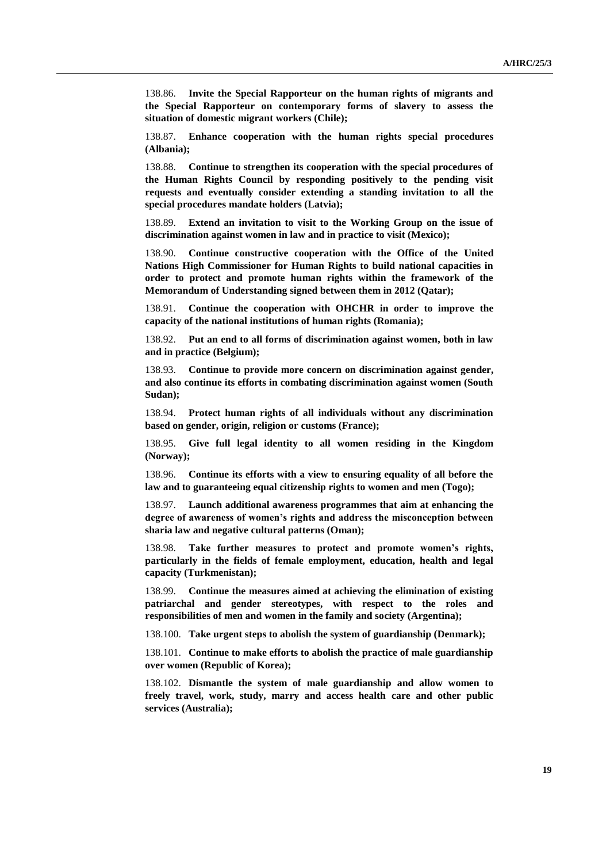138.86. **Invite the Special Rapporteur on the human rights of migrants and the Special Rapporteur on contemporary forms of slavery to assess the situation of domestic migrant workers (Chile);**

138.87. **Enhance cooperation with the human rights special procedures (Albania);**

138.88. **Continue to strengthen its cooperation with the special procedures of the Human Rights Council by responding positively to the pending visit requests and eventually consider extending a standing invitation to all the special procedures mandate holders (Latvia);**

138.89. **Extend an invitation to visit to the Working Group on the issue of discrimination against women in law and in practice to visit (Mexico);**

138.90. **Continue constructive cooperation with the Office of the United Nations High Commissioner for Human Rights to build national capacities in order to protect and promote human rights within the framework of the Memorandum of Understanding signed between them in 2012 (Qatar);**

138.91. **Continue the cooperation with OHCHR in order to improve the capacity of the national institutions of human rights (Romania);**

138.92. **Put an end to all forms of discrimination against women, both in law and in practice (Belgium);**

138.93. **Continue to provide more concern on discrimination against gender, and also continue its efforts in combating discrimination against women (South Sudan);**

138.94. **Protect human rights of all individuals without any discrimination based on gender, origin, religion or customs (France);**

138.95. **Give full legal identity to all women residing in the Kingdom (Norway);**

138.96. **Continue its efforts with a view to ensuring equality of all before the law and to guaranteeing equal citizenship rights to women and men (Togo);**

138.97. **Launch additional awareness programmes that aim at enhancing the degree of awareness of women's rights and address the misconception between sharia law and negative cultural patterns (Oman);**

138.98. **Take further measures to protect and promote women's rights, particularly in the fields of female employment, education, health and legal capacity (Turkmenistan);**

138.99. **Continue the measures aimed at achieving the elimination of existing patriarchal and gender stereotypes, with respect to the roles and responsibilities of men and women in the family and society (Argentina);**

138.100. **Take urgent steps to abolish the system of guardianship (Denmark);**

138.101. **Continue to make efforts to abolish the practice of male guardianship over women (Republic of Korea);**

138.102. **Dismantle the system of male guardianship and allow women to freely travel, work, study, marry and access health care and other public services (Australia);**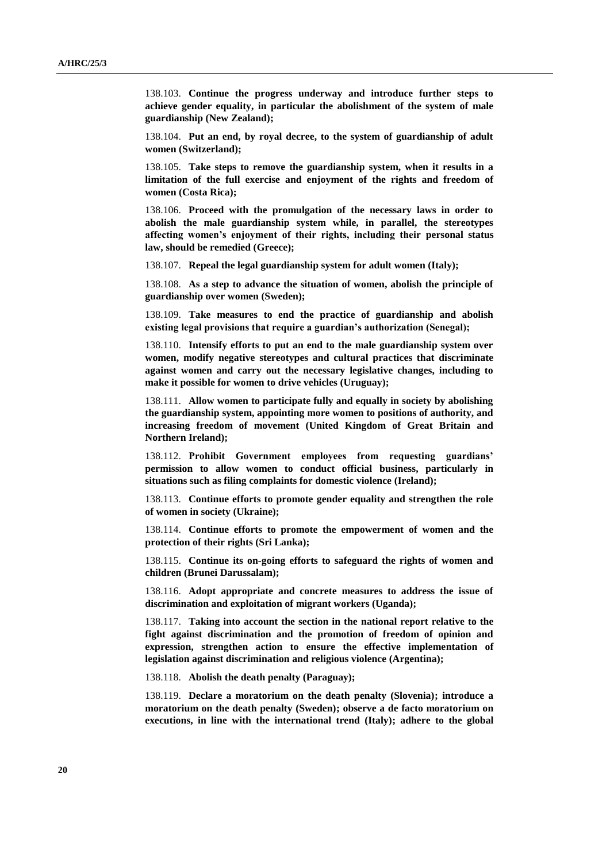138.103. **Continue the progress underway and introduce further steps to achieve gender equality, in particular the abolishment of the system of male guardianship (New Zealand);**

138.104. **Put an end, by royal decree, to the system of guardianship of adult women (Switzerland);**

138.105. **Take steps to remove the guardianship system, when it results in a limitation of the full exercise and enjoyment of the rights and freedom of women (Costa Rica);**

138.106. **Proceed with the promulgation of the necessary laws in order to abolish the male guardianship system while, in parallel, the stereotypes affecting women's enjoyment of their rights, including their personal status law, should be remedied (Greece);**

138.107. **Repeal the legal guardianship system for adult women (Italy);**

138.108. **As a step to advance the situation of women, abolish the principle of guardianship over women (Sweden);**

138.109. **Take measures to end the practice of guardianship and abolish existing legal provisions that require a guardian's authorization (Senegal);**

138.110. **Intensify efforts to put an end to the male guardianship system over women, modify negative stereotypes and cultural practices that discriminate against women and carry out the necessary legislative changes, including to make it possible for women to drive vehicles (Uruguay);**

138.111. **Allow women to participate fully and equally in society by abolishing the guardianship system, appointing more women to positions of authority, and increasing freedom of movement (United Kingdom of Great Britain and Northern Ireland);**

138.112. **Prohibit Government employees from requesting guardians' permission to allow women to conduct official business, particularly in situations such as filing complaints for domestic violence (Ireland);**

138.113. **Continue efforts to promote gender equality and strengthen the role of women in society (Ukraine);**

138.114. **Continue efforts to promote the empowerment of women and the protection of their rights (Sri Lanka);**

138.115. **Continue its on-going efforts to safeguard the rights of women and children (Brunei Darussalam);**

138.116. **Adopt appropriate and concrete measures to address the issue of discrimination and exploitation of migrant workers (Uganda);**

138.117. **Taking into account the section in the national report relative to the fight against discrimination and the promotion of freedom of opinion and expression, strengthen action to ensure the effective implementation of legislation against discrimination and religious violence (Argentina);**

138.118. **Abolish the death penalty (Paraguay);**

138.119. **Declare a moratorium on the death penalty (Slovenia); introduce a moratorium on the death penalty (Sweden); observe a de facto moratorium on executions, in line with the international trend (Italy); adhere to the global**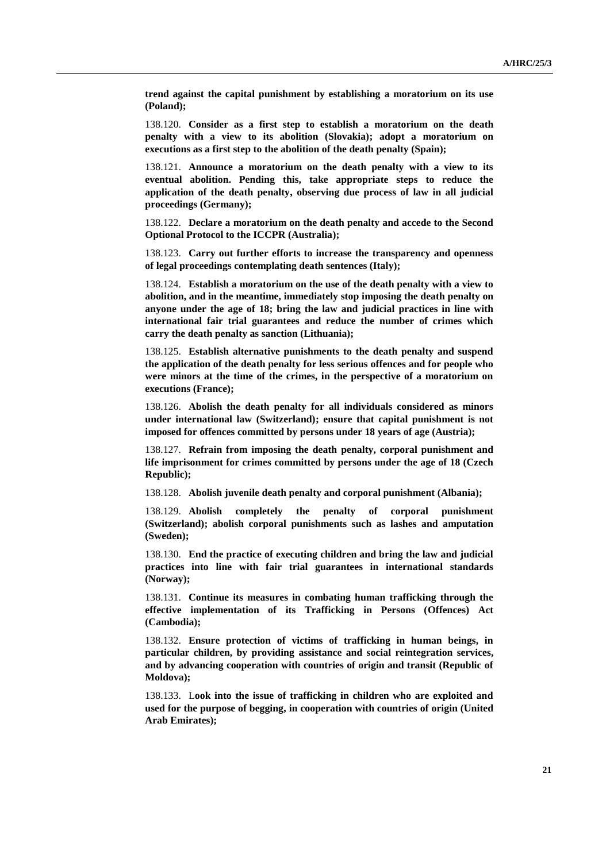**trend against the capital punishment by establishing a moratorium on its use (Poland);**

138.120. **Consider as a first step to establish a moratorium on the death penalty with a view to its abolition (Slovakia); adopt a moratorium on executions as a first step to the abolition of the death penalty (Spain);**

138.121. **Announce a moratorium on the death penalty with a view to its eventual abolition. Pending this, take appropriate steps to reduce the application of the death penalty, observing due process of law in all judicial proceedings (Germany);**

138.122. **Declare a moratorium on the death penalty and accede to the Second Optional Protocol to the ICCPR (Australia);**

138.123. **Carry out further efforts to increase the transparency and openness of legal proceedings contemplating death sentences (Italy);**

138.124. **Establish a moratorium on the use of the death penalty with a view to abolition, and in the meantime, immediately stop imposing the death penalty on anyone under the age of 18; bring the law and judicial practices in line with international fair trial guarantees and reduce the number of crimes which carry the death penalty as sanction (Lithuania);**

138.125. **Establish alternative punishments to the death penalty and suspend the application of the death penalty for less serious offences and for people who were minors at the time of the crimes, in the perspective of a moratorium on executions (France);**

138.126. **Abolish the death penalty for all individuals considered as minors under international law (Switzerland); ensure that capital punishment is not imposed for offences committed by persons under 18 years of age (Austria);**

138.127. **Refrain from imposing the death penalty, corporal punishment and life imprisonment for crimes committed by persons under the age of 18 (Czech Republic);**

138.128. **Abolish juvenile death penalty and corporal punishment (Albania);**

138.129. **Abolish completely the penalty of corporal punishment (Switzerland); abolish corporal punishments such as lashes and amputation (Sweden);**

138.130. **End the practice of executing children and bring the law and judicial practices into line with fair trial guarantees in international standards (Norway);**

138.131. **Continue its measures in combating human trafficking through the effective implementation of its Trafficking in Persons (Offences) Act (Cambodia);**

138.132. **Ensure protection of victims of trafficking in human beings, in particular children, by providing assistance and social reintegration services, and by advancing cooperation with countries of origin and transit (Republic of Moldova);**

138.133. L**ook into the issue of trafficking in children who are exploited and used for the purpose of begging, in cooperation with countries of origin (United Arab Emirates);**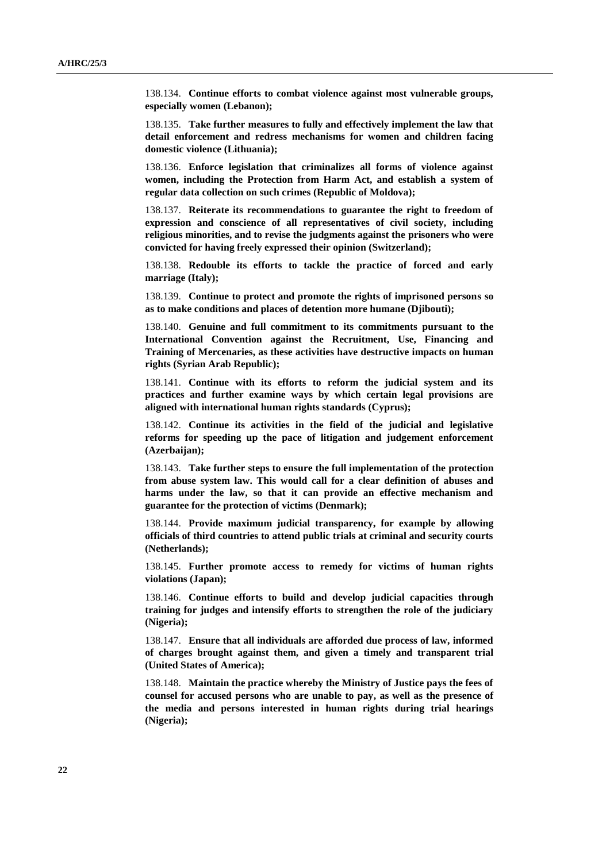138.134. **Continue efforts to combat violence against most vulnerable groups, especially women (Lebanon);**

138.135. **Take further measures to fully and effectively implement the law that detail enforcement and redress mechanisms for women and children facing domestic violence (Lithuania);**

138.136. **Enforce legislation that criminalizes all forms of violence against women, including the Protection from Harm Act, and establish a system of regular data collection on such crimes (Republic of Moldova);**

138.137. **Reiterate its recommendations to guarantee the right to freedom of expression and conscience of all representatives of civil society, including religious minorities, and to revise the judgments against the prisoners who were convicted for having freely expressed their opinion (Switzerland);**

138.138. **Redouble its efforts to tackle the practice of forced and early marriage (Italy);**

138.139. **Continue to protect and promote the rights of imprisoned persons so as to make conditions and places of detention more humane (Djibouti);**

138.140. **Genuine and full commitment to its commitments pursuant to the International Convention against the Recruitment, Use, Financing and Training of Mercenaries, as these activities have destructive impacts on human rights (Syrian Arab Republic);**

138.141. **Continue with its efforts to reform the judicial system and its practices and further examine ways by which certain legal provisions are aligned with international human rights standards (Cyprus);**

138.142. **Continue its activities in the field of the judicial and legislative reforms for speeding up the pace of litigation and judgement enforcement (Azerbaijan);**

138.143. **Take further steps to ensure the full implementation of the protection from abuse system law. This would call for a clear definition of abuses and harms under the law, so that it can provide an effective mechanism and guarantee for the protection of victims (Denmark);**

138.144. **Provide maximum judicial transparency, for example by allowing officials of third countries to attend public trials at criminal and security courts (Netherlands);**

138.145. **Further promote access to remedy for victims of human rights violations (Japan);**

138.146. **Continue efforts to build and develop judicial capacities through training for judges and intensify efforts to strengthen the role of the judiciary (Nigeria);**

138.147. **Ensure that all individuals are afforded due process of law, informed of charges brought against them, and given a timely and transparent trial (United States of America);**

138.148. **Maintain the practice whereby the Ministry of Justice pays the fees of counsel for accused persons who are unable to pay, as well as the presence of the media and persons interested in human rights during trial hearings (Nigeria);**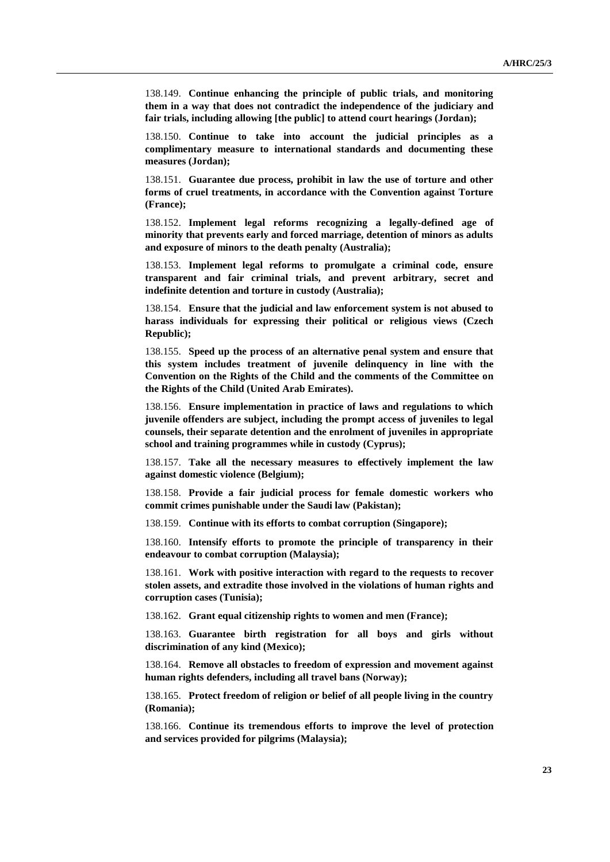138.149. **Continue enhancing the principle of public trials, and monitoring them in a way that does not contradict the independence of the judiciary and fair trials, including allowing [the public] to attend court hearings (Jordan);**

138.150. **Continue to take into account the judicial principles as a complimentary measure to international standards and documenting these measures (Jordan);**

138.151. **Guarantee due process, prohibit in law the use of torture and other forms of cruel treatments, in accordance with the Convention against Torture (France);**

138.152. **Implement legal reforms recognizing a legally-defined age of minority that prevents early and forced marriage, detention of minors as adults and exposure of minors to the death penalty (Australia);**

138.153. **Implement legal reforms to promulgate a criminal code, ensure transparent and fair criminal trials, and prevent arbitrary, secret and indefinite detention and torture in custody (Australia);**

138.154. **Ensure that the judicial and law enforcement system is not abused to harass individuals for expressing their political or religious views (Czech Republic);**

138.155. **Speed up the process of an alternative penal system and ensure that this system includes treatment of juvenile delinquency in line with the Convention on the Rights of the Child and the comments of the Committee on the Rights of the Child (United Arab Emirates).**

138.156. **Ensure implementation in practice of laws and regulations to which juvenile offenders are subject, including the prompt access of juveniles to legal counsels, their separate detention and the enrolment of juveniles in appropriate school and training programmes while in custody (Cyprus);**

138.157. **Take all the necessary measures to effectively implement the law against domestic violence (Belgium);**

138.158. **Provide a fair judicial process for female domestic workers who commit crimes punishable under the Saudi law (Pakistan);**

138.159. **Continue with its efforts to combat corruption (Singapore);**

138.160. **Intensify efforts to promote the principle of transparency in their endeavour to combat corruption (Malaysia);**

138.161. **Work with positive interaction with regard to the requests to recover stolen assets, and extradite those involved in the violations of human rights and corruption cases (Tunisia);**

138.162. **Grant equal citizenship rights to women and men (France);**

138.163. **Guarantee birth registration for all boys and girls without discrimination of any kind (Mexico);**

138.164. **Remove all obstacles to freedom of expression and movement against human rights defenders, including all travel bans (Norway);**

138.165. **Protect freedom of religion or belief of all people living in the country (Romania);**

138.166. **Continue its tremendous efforts to improve the level of protection and services provided for pilgrims (Malaysia);**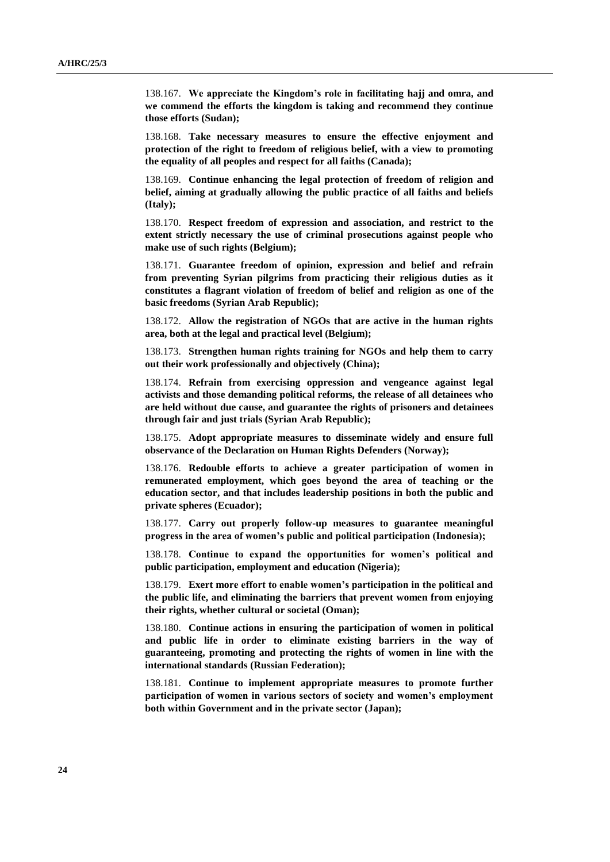138.167. **We appreciate the Kingdom's role in facilitating hajj and omra, and we commend the efforts the kingdom is taking and recommend they continue those efforts (Sudan);**

138.168. **Take necessary measures to ensure the effective enjoyment and protection of the right to freedom of religious belief, with a view to promoting the equality of all peoples and respect for all faiths (Canada);**

138.169. **Continue enhancing the legal protection of freedom of religion and belief, aiming at gradually allowing the public practice of all faiths and beliefs (Italy);**

138.170. **Respect freedom of expression and association, and restrict to the extent strictly necessary the use of criminal prosecutions against people who make use of such rights (Belgium);**

138.171. **Guarantee freedom of opinion, expression and belief and refrain from preventing Syrian pilgrims from practicing their religious duties as it constitutes a flagrant violation of freedom of belief and religion as one of the basic freedoms (Syrian Arab Republic);**

138.172. **Allow the registration of NGOs that are active in the human rights area, both at the legal and practical level (Belgium);**

138.173. **Strengthen human rights training for NGOs and help them to carry out their work professionally and objectively (China);**

138.174. **Refrain from exercising oppression and vengeance against legal activists and those demanding political reforms, the release of all detainees who are held without due cause, and guarantee the rights of prisoners and detainees through fair and just trials (Syrian Arab Republic);**

138.175. **Adopt appropriate measures to disseminate widely and ensure full observance of the Declaration on Human Rights Defenders (Norway);**

138.176. **Redouble efforts to achieve a greater participation of women in remunerated employment, which goes beyond the area of teaching or the education sector, and that includes leadership positions in both the public and private spheres (Ecuador);**

138.177. **Carry out properly follow-up measures to guarantee meaningful progress in the area of women's public and political participation (Indonesia);**

138.178. **Continue to expand the opportunities for women's political and public participation, employment and education (Nigeria);**

138.179. **Exert more effort to enable women's participation in the political and the public life, and eliminating the barriers that prevent women from enjoying their rights, whether cultural or societal (Oman);**

138.180. **Continue actions in ensuring the participation of women in political and public life in order to eliminate existing barriers in the way of guaranteeing, promoting and protecting the rights of women in line with the international standards (Russian Federation);**

138.181. **Continue to implement appropriate measures to promote further participation of women in various sectors of society and women's employment both within Government and in the private sector (Japan);**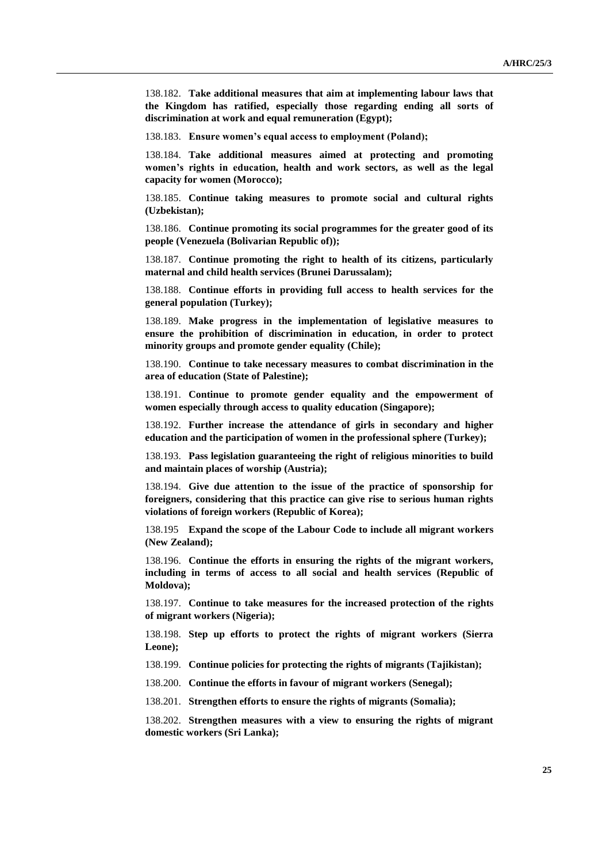138.182. **Take additional measures that aim at implementing labour laws that the Kingdom has ratified, especially those regarding ending all sorts of discrimination at work and equal remuneration (Egypt);**

138.183. **Ensure women's equal access to employment (Poland);**

138.184. **Take additional measures aimed at protecting and promoting women's rights in education, health and work sectors, as well as the legal capacity for women (Morocco);**

138.185. **Continue taking measures to promote social and cultural rights (Uzbekistan);**

138.186. **Continue promoting its social programmes for the greater good of its people (Venezuela (Bolivarian Republic of));**

138.187. **Continue promoting the right to health of its citizens, particularly maternal and child health services (Brunei Darussalam);**

138.188. **Continue efforts in providing full access to health services for the general population (Turkey);**

138.189. **Make progress in the implementation of legislative measures to ensure the prohibition of discrimination in education, in order to protect minority groups and promote gender equality (Chile);**

138.190. **Continue to take necessary measures to combat discrimination in the area of education (State of Palestine);**

138.191. **Continue to promote gender equality and the empowerment of women especially through access to quality education (Singapore);**

138.192. **Further increase the attendance of girls in secondary and higher education and the participation of women in the professional sphere (Turkey);**

138.193. **Pass legislation guaranteeing the right of religious minorities to build and maintain places of worship (Austria);**

138.194. **Give due attention to the issue of the practice of sponsorship for foreigners, considering that this practice can give rise to serious human rights violations of foreign workers (Republic of Korea);**

138.195 **Expand the scope of the Labour Code to include all migrant workers (New Zealand);**

138.196. **Continue the efforts in ensuring the rights of the migrant workers, including in terms of access to all social and health services (Republic of Moldova);**

138.197. **Continue to take measures for the increased protection of the rights of migrant workers (Nigeria);**

138.198. **Step up efforts to protect the rights of migrant workers (Sierra Leone);**

138.199. **Continue policies for protecting the rights of migrants (Tajikistan);**

138.200. **Continue the efforts in favour of migrant workers (Senegal);**

138.201. **Strengthen efforts to ensure the rights of migrants (Somalia);**

138.202. **Strengthen measures with a view to ensuring the rights of migrant domestic workers (Sri Lanka);**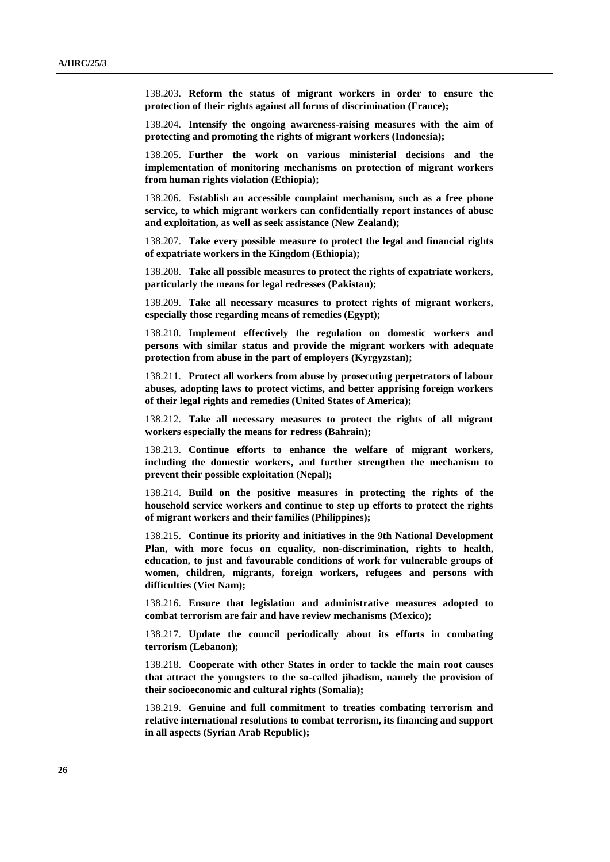138.203. **Reform the status of migrant workers in order to ensure the protection of their rights against all forms of discrimination (France);**

138.204. **Intensify the ongoing awareness-raising measures with the aim of protecting and promoting the rights of migrant workers (Indonesia);**

138.205. **Further the work on various ministerial decisions and the implementation of monitoring mechanisms on protection of migrant workers from human rights violation (Ethiopia);**

138.206. **Establish an accessible complaint mechanism, such as a free phone service, to which migrant workers can confidentially report instances of abuse and exploitation, as well as seek assistance (New Zealand);**

138.207. **Take every possible measure to protect the legal and financial rights of expatriate workers in the Kingdom (Ethiopia);**

138.208. **Take all possible measures to protect the rights of expatriate workers, particularly the means for legal redresses (Pakistan);**

138.209. **Take all necessary measures to protect rights of migrant workers, especially those regarding means of remedies (Egypt);**

138.210. **Implement effectively the regulation on domestic workers and persons with similar status and provide the migrant workers with adequate protection from abuse in the part of employers (Kyrgyzstan);**

138.211. **Protect all workers from abuse by prosecuting perpetrators of labour abuses, adopting laws to protect victims, and better apprising foreign workers of their legal rights and remedies (United States of America);**

138.212. **Take all necessary measures to protect the rights of all migrant workers especially the means for redress (Bahrain);**

138.213. **Continue efforts to enhance the welfare of migrant workers, including the domestic workers, and further strengthen the mechanism to prevent their possible exploitation (Nepal);**

138.214. **Build on the positive measures in protecting the rights of the household service workers and continue to step up efforts to protect the rights of migrant workers and their families (Philippines);**

138.215. **Continue its priority and initiatives in the 9th National Development Plan, with more focus on equality, non-discrimination, rights to health, education, to just and favourable conditions of work for vulnerable groups of women, children, migrants, foreign workers, refugees and persons with difficulties (Viet Nam);**

138.216. **Ensure that legislation and administrative measures adopted to combat terrorism are fair and have review mechanisms (Mexico);**

138.217. **Update the council periodically about its efforts in combating terrorism (Lebanon);**

138.218. **Cooperate with other States in order to tackle the main root causes that attract the youngsters to the so-called jihadism, namely the provision of their socioeconomic and cultural rights (Somalia);**

138.219. **Genuine and full commitment to treaties combating terrorism and relative international resolutions to combat terrorism, its financing and support in all aspects (Syrian Arab Republic);**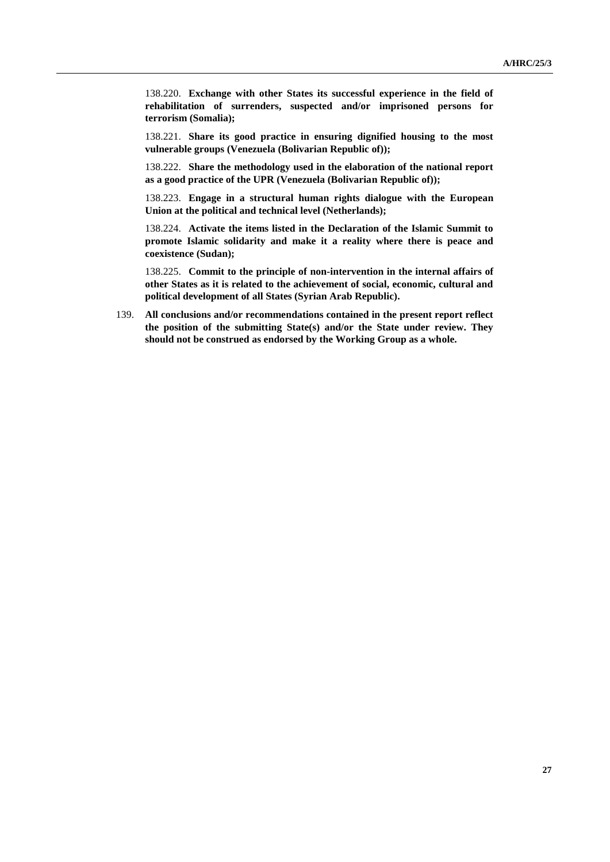138.220. **Exchange with other States its successful experience in the field of rehabilitation of surrenders, suspected and/or imprisoned persons for terrorism (Somalia);**

138.221. **Share its good practice in ensuring dignified housing to the most vulnerable groups (Venezuela (Bolivarian Republic of));**

138.222. **Share the methodology used in the elaboration of the national report as a good practice of the UPR (Venezuela (Bolivarian Republic of));**

138.223. **Engage in a structural human rights dialogue with the European Union at the political and technical level (Netherlands);**

138.224. **Activate the items listed in the Declaration of the Islamic Summit to promote Islamic solidarity and make it a reality where there is peace and coexistence (Sudan);**

138.225. **Commit to the principle of non-intervention in the internal affairs of other States as it is related to the achievement of social, economic, cultural and political development of all States (Syrian Arab Republic).**

139. **All conclusions and/or recommendations contained in the present report reflect the position of the submitting State(s) and/or the State under review. They should not be construed as endorsed by the Working Group as a whole.**